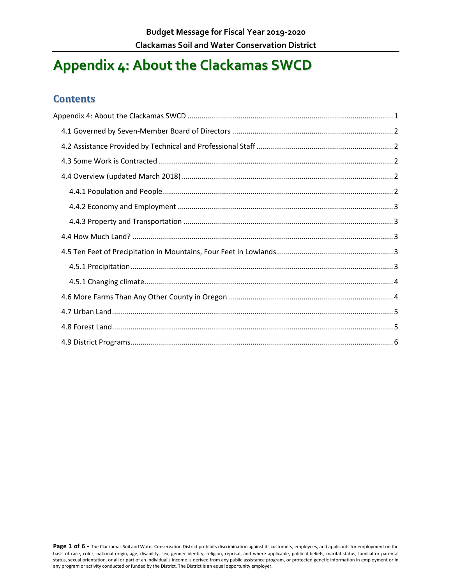# <span id="page-0-0"></span>**Appendix 4: About the Clackamas SWCD**

#### **Contents**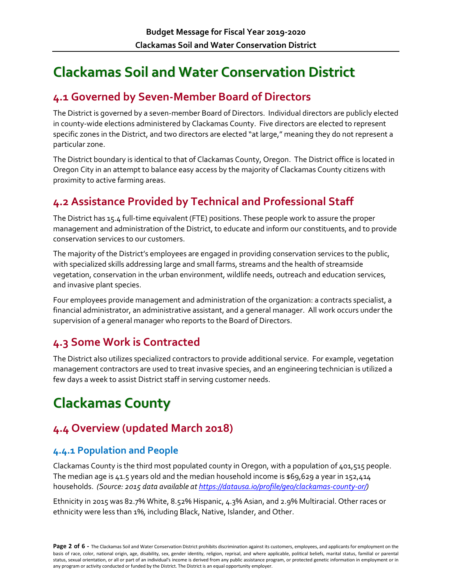# **Clackamas Soil and Water Conservation District**

### <span id="page-1-0"></span>**4.1 Governed by Seven-Member Board of Directors**

The District is governed by a seven-member Board of Directors. Individual directors are publicly elected in county-wide elections administered by Clackamas County. Five directors are elected to represent specific zones in the District, and two directors are elected "at large," meaning they do not represent a particular zone.

The District boundary is identical to that of Clackamas County, Oregon. The District office is located in Oregon City in an attempt to balance easy access by the majority of Clackamas County citizens with proximity to active farming areas.

### <span id="page-1-1"></span>**4.2 Assistance Provided by Technical and Professional Staff**

The District has 15.4 full-time equivalent (FTE) positions. These people work to assure the proper management and administration of the District, to educate and inform our constituents, and to provide conservation services to our customers.

The majority of the District's employees are engaged in providing conservation services to the public, with specialized skills addressing large and small farms, streams and the health of streamside vegetation, conservation in the urban environment, wildlife needs, outreach and education services, and invasive plant species.

Four employees provide management and administration of the organization: a contracts specialist, a financial administrator, an administrative assistant, and a general manager. All work occurs under the supervision of a general manager who reports to the Board of Directors.

### <span id="page-1-2"></span>**4.3 Some Work is Contracted**

The District also utilizes specialized contractors to provide additional service. For example, vegetation management contractors are used to treat invasive species, and an engineering technician is utilized a few days a week to assist District staff in serving customer needs.

# **Clackamas County**

# <span id="page-1-3"></span>**4.4 Overview (updated March 2018)**

#### <span id="page-1-4"></span>**4.4.1 Population and People**

Clackamas County is the third most populated county in Oregon, with a population of 401,515 people. The median age is 41.5 years old and the median household income is  $$69,629$  a year in 152,414 households. *(Source: 2015 data available a[t https://datausa.io/profile/geo/clackamas-county-or/\)](https://datausa.io/profile/geo/clackamas-county-or/)*

Ethnicity in 2015 was 82.7% White, 8.52% Hispanic, 4.3% Asian, and 2.9% Multiracial. Other races or ethnicity were less than 1%, including Black, Native, Islander, and Other.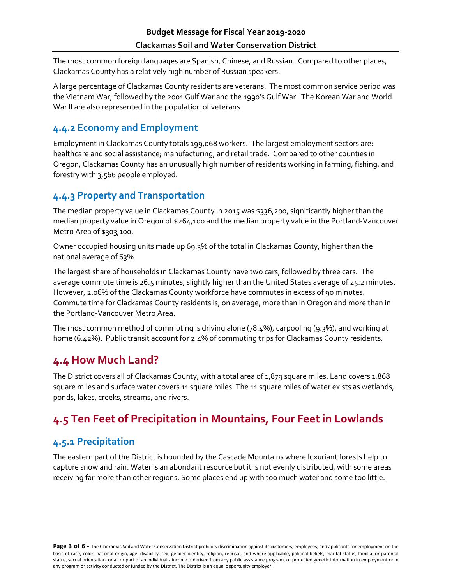The most common foreign languages are Spanish, Chinese, and Russian. Compared to other places, Clackamas County has a relatively high number of Russian speakers.

A large percentage of Clackamas County residents are veterans. The most common service period was the Vietnam War, followed by the 2001 Gulf War and the 1990's Gulf War. The Korean War and World War II are also represented in the population of veterans.

#### <span id="page-2-0"></span>**4.4.2 Economy and Employment**

Employment in Clackamas County totals 199,068 workers. The largest employment sectors are: healthcare and social assistance; manufacturing; and retail trade. Compared to other counties in Oregon, Clackamas County has an unusually high number of residents working in farming, fishing, and forestry with 3,566 people employed.

#### <span id="page-2-1"></span>**4.4.3 Property and Transportation**

The median property value in Clackamas County in 2015 was \$336,200, significantly higher than the median property value in Oregon of \$264,100 and the median property value in the Portland-Vancouver Metro Area of \$303,100.

Owner occupied housing units made up 69.3% of the total in Clackamas County, higher than the national average of 63%.

The largest share of households in Clackamas County have two cars, followed by three cars. The average commute time is 26.5 minutes, slightly higher than the United States average of 25.2 minutes. However, 2.06% of the Clackamas County workforce have commutes in excess of 90 minutes. Commute time for Clackamas County residents is, on average, more than in Oregon and more than in the Portland-Vancouver Metro Area.

The most common method of commuting is driving alone (78.4%), carpooling (9.3%), and working at home (6.42%). Public transit account for 2.4% of commuting trips for Clackamas County residents.

### <span id="page-2-2"></span>**4.4 How Much Land?**

The District covers all of Clackamas County, with a total area of 1,879 square miles. Land covers 1,868 square miles and surface water covers 11 square miles. The 11 square miles of water exists as wetlands, ponds, lakes, creeks, streams, and rivers.

# <span id="page-2-3"></span>**4.5 Ten Feet of Precipitation in Mountains, Four Feet in Lowlands**

#### <span id="page-2-4"></span>**4.5.1 Precipitation**

The eastern part of the District is bounded by the Cascade Mountains where luxuriant forests help to capture snow and rain. Water is an abundant resource but it is not evenly distributed, with some areas receiving far more than other regions. Some places end up with too much water and some too little.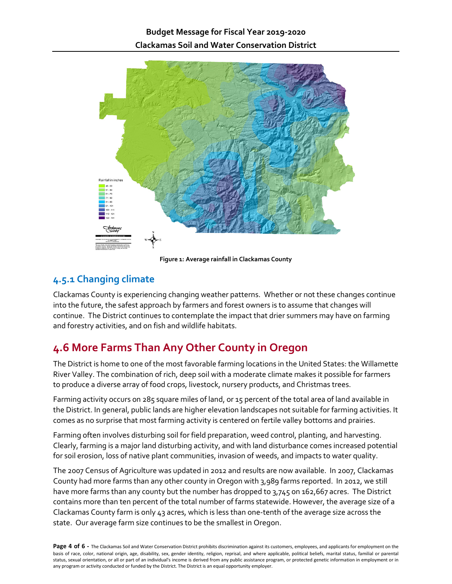

**Figure 1: Average rainfall in Clackamas County**

#### <span id="page-3-0"></span>**4.5.1 Changing climate**

Clackamas County is experiencing changing weather patterns. Whether or not these changes continue into the future, the safest approach by farmers and forest owners is to assume that changes will continue. The District continues to contemplate the impact that drier summers may have on farming and forestry activities, and on fish and wildlife habitats.

# <span id="page-3-1"></span>**4.6 More Farms Than Any Other County in Oregon**

The District is home to one of the most favorable farming locations in the United States: the Willamette River Valley. The combination of rich, deep soil with a moderate climate makes it possible for farmers to produce a diverse array of food crops, livestock, nursery products, and Christmas trees.

Farming activity occurs on 285 square miles of land, or 15 percent of the total area of land available in the District. In general, public lands are higher elevation landscapes not suitable for farming activities. It comes as no surprise that most farming activity is centered on fertile valley bottoms and prairies.

Farming often involves disturbing soil for field preparation, weed control, planting, and harvesting. Clearly, farming is a major land disturbing activity, and with land disturbance comes increased potential for soil erosion, loss of native plant communities, invasion of weeds, and impacts to water quality.

The 2007 Census of Agriculture was updated in 2012 and results are now available. In 2007, Clackamas County had more farms than any other county in Oregon with 3,989 farms reported. In 2012, we still have more farms than any county but the number has dropped to 3,745 on 162,667 acres. The District contains more than ten percent of the total number of farms statewide. However, the average size of a Clackamas County farm is only 43 acres, which is less than one-tenth of the average size across the state. Our average farm size continues to be the smallest in Oregon.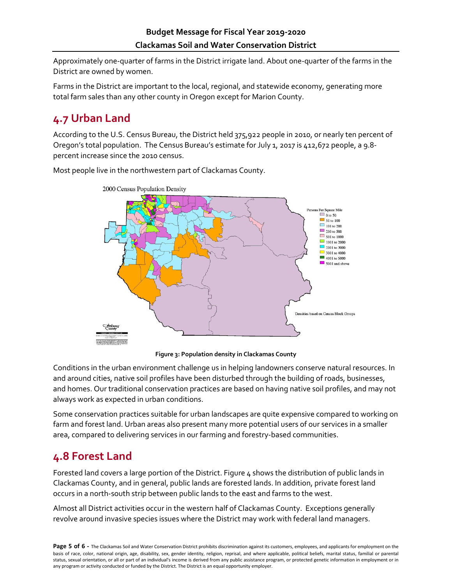Approximately one-quarter of farms in the District irrigate land. About one-quarter of the farms in the District are owned by women.

Farms in the District are important to the local, regional, and statewide economy, generating more total farm sales than any other county in Oregon except for Marion County.

# <span id="page-4-0"></span>**4.7 Urban Land**

According to the U.S. Census Bureau, the District held 375,922 people in 2010, or nearly ten percent of Oregon's total population. The Census Bureau's estimate for July 1, 2017 is 412,672 people, a 9.8 percent increase since the 2010 census.

Most people live in the northwestern part of Clackamas County.



**Figure 3: Population density in Clackamas County**

Conditions in the urban environment challenge us in helping landowners conserve natural resources. In and around cities, native soil profiles have been disturbed through the building of roads, businesses, and homes. Our traditional conservation practices are based on having native soil profiles, and may not always work as expected in urban conditions.

Some conservation practices suitable for urban landscapes are quite expensive compared to working on farm and forest land. Urban areas also present many more potential users of our services in a smaller area, compared to delivering services in our farming and forestry-based communities.

### <span id="page-4-1"></span>**4.8 Forest Land**

Forested land covers a large portion of the District. Figure 4 shows the distribution of public lands in Clackamas County, and in general, public lands are forested lands. In addition, private forest land occurs in a north-south strip between public lands to the east and farms to the west.

Almost all District activities occur in the western half of Clackamas County. Exceptions generally revolve around invasive species issues where the District may work with federal land managers.

Page 5 of 6 - The Clackamas Soil and Water Conservation District prohibits discrimination against its customers, employees, and applicants for employment on the basis of race, color, national origin, age, disability, sex, gender identity, religion, reprisal, and where applicable, political beliefs, marital status, familial or parental status, sexual orientation, or all or part of an individual's income is derived from any public assistance program, or protected genetic information in employment or in any program or activity conducted or funded by the District. The District is an equal opportunity employer.